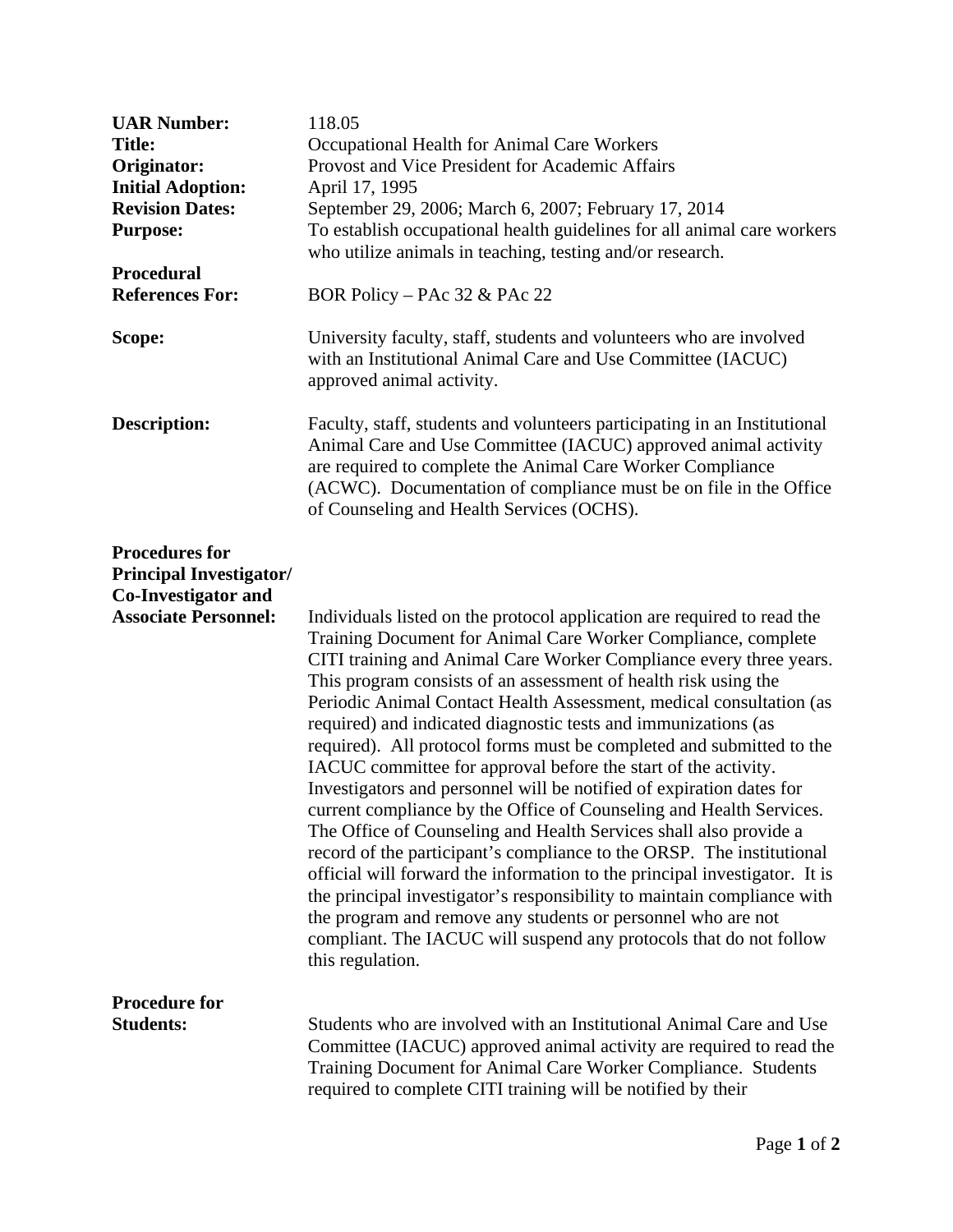| <b>UAR Number:</b>                                                                                            | 118.05                                                                                                                                                                                                                                                                                                                                                                                                                                                                                                                                                                                                                                                                                                                                                                                                                                                                                                                                                                                                                                                                                                                                                                               |
|---------------------------------------------------------------------------------------------------------------|--------------------------------------------------------------------------------------------------------------------------------------------------------------------------------------------------------------------------------------------------------------------------------------------------------------------------------------------------------------------------------------------------------------------------------------------------------------------------------------------------------------------------------------------------------------------------------------------------------------------------------------------------------------------------------------------------------------------------------------------------------------------------------------------------------------------------------------------------------------------------------------------------------------------------------------------------------------------------------------------------------------------------------------------------------------------------------------------------------------------------------------------------------------------------------------|
| <b>Title:</b>                                                                                                 | Occupational Health for Animal Care Workers                                                                                                                                                                                                                                                                                                                                                                                                                                                                                                                                                                                                                                                                                                                                                                                                                                                                                                                                                                                                                                                                                                                                          |
| Originator:                                                                                                   | Provost and Vice President for Academic Affairs                                                                                                                                                                                                                                                                                                                                                                                                                                                                                                                                                                                                                                                                                                                                                                                                                                                                                                                                                                                                                                                                                                                                      |
| <b>Initial Adoption:</b>                                                                                      | April 17, 1995                                                                                                                                                                                                                                                                                                                                                                                                                                                                                                                                                                                                                                                                                                                                                                                                                                                                                                                                                                                                                                                                                                                                                                       |
| <b>Revision Dates:</b>                                                                                        | September 29, 2006; March 6, 2007; February 17, 2014                                                                                                                                                                                                                                                                                                                                                                                                                                                                                                                                                                                                                                                                                                                                                                                                                                                                                                                                                                                                                                                                                                                                 |
| <b>Purpose:</b>                                                                                               | To establish occupational health guidelines for all animal care workers                                                                                                                                                                                                                                                                                                                                                                                                                                                                                                                                                                                                                                                                                                                                                                                                                                                                                                                                                                                                                                                                                                              |
|                                                                                                               | who utilize animals in teaching, testing and/or research.                                                                                                                                                                                                                                                                                                                                                                                                                                                                                                                                                                                                                                                                                                                                                                                                                                                                                                                                                                                                                                                                                                                            |
| <b>Procedural</b>                                                                                             |                                                                                                                                                                                                                                                                                                                                                                                                                                                                                                                                                                                                                                                                                                                                                                                                                                                                                                                                                                                                                                                                                                                                                                                      |
| <b>References For:</b>                                                                                        | BOR Policy – PAc 32 & PAc 22                                                                                                                                                                                                                                                                                                                                                                                                                                                                                                                                                                                                                                                                                                                                                                                                                                                                                                                                                                                                                                                                                                                                                         |
| Scope:                                                                                                        | University faculty, staff, students and volunteers who are involved<br>with an Institutional Animal Care and Use Committee (IACUC)<br>approved animal activity.                                                                                                                                                                                                                                                                                                                                                                                                                                                                                                                                                                                                                                                                                                                                                                                                                                                                                                                                                                                                                      |
| <b>Description:</b>                                                                                           | Faculty, staff, students and volunteers participating in an Institutional<br>Animal Care and Use Committee (IACUC) approved animal activity<br>are required to complete the Animal Care Worker Compliance<br>(ACWC). Documentation of compliance must be on file in the Office<br>of Counseling and Health Services (OCHS).                                                                                                                                                                                                                                                                                                                                                                                                                                                                                                                                                                                                                                                                                                                                                                                                                                                          |
| <b>Procedures for</b><br><b>Principal Investigator/</b><br>Co-Investigator and<br><b>Associate Personnel:</b> | Individuals listed on the protocol application are required to read the<br>Training Document for Animal Care Worker Compliance, complete<br>CITI training and Animal Care Worker Compliance every three years.<br>This program consists of an assessment of health risk using the<br>Periodic Animal Contact Health Assessment, medical consultation (as<br>required) and indicated diagnostic tests and immunizations (as<br>required). All protocol forms must be completed and submitted to the<br>IACUC committee for approval before the start of the activity.<br>Investigators and personnel will be notified of expiration dates for<br>current compliance by the Office of Counseling and Health Services.<br>The Office of Counseling and Health Services shall also provide a<br>record of the participant's compliance to the ORSP. The institutional<br>official will forward the information to the principal investigator. It is<br>the principal investigator's responsibility to maintain compliance with<br>the program and remove any students or personnel who are not<br>compliant. The IACUC will suspend any protocols that do not follow<br>this regulation. |
| <b>Procedure for</b><br><b>Students:</b>                                                                      | Students who are involved with an Institutional Animal Care and Use<br>Committee (IACUC) approved animal activity are required to read the<br>Training Document for Animal Care Worker Compliance. Students<br>required to complete CITI training will be notified by their                                                                                                                                                                                                                                                                                                                                                                                                                                                                                                                                                                                                                                                                                                                                                                                                                                                                                                          |